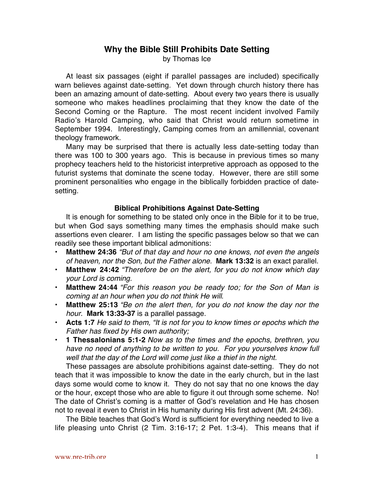# **Why the Bible Still Prohibits Date Setting**

by Thomas Ice

At least six passages (eight if parallel passages are included) specifically warn believes against date-setting. Yet down through church history there has been an amazing amount of date-setting. About every two years there is usually someone who makes headlines proclaiming that they know the date of the Second Coming or the Rapture. The most recent incident involved Family Radio's Harold Camping, who said that Christ would return sometime in September 1994. Interestingly, Camping comes from an amillennial, covenant theology framework.

Many may be surprised that there is actually less date-setting today than there was 100 to 300 years ago. This is because in previous times so many prophecy teachers held to the historicist interpretive approach as opposed to the futurist systems that dominate the scene today. However, there are still some prominent personalities who engage in the biblically forbidden practice of datesetting.

## **Biblical Prohibitions Against Date-Setting**

It is enough for something to be stated only once in the Bible for it to be true, but when God says something many times the emphasis should make such assertions even clearer. I am listing the specific passages below so that we can readily see these important biblical admonitions:

- **Matthew 24:36** "But of that day and hour no one knows, not even the angels of heaven, nor the Son, but the Father alone. **Mark 13:32** is an exact parallel.
- **Matthew 24:42** "Therefore be on the alert, for you do not know which day your Lord is coming.
- **Matthew 24:44** "For this reason you be ready too; for the Son of Man is coming at an hour when you do not think He will.
- **Matthew 25:13** "Be on the alert then, for you do not know the day nor the hour. **Mark 13:33-37** is a parallel passage.
- **Acts 1:7** He said to them, "It is not for you to know times or epochs which the Father has fixed by His own authority;
- **1 Thessalonians 5:1-2** Now as to the times and the epochs, brethren, you have no need of anything to be written to you. For you yourselves know full well that the day of the Lord will come just like a thief in the night.

These passages are absolute prohibitions against date-setting. They do not teach that it was impossible to know the date in the early church, but in the last days some would come to know it. They do not say that no one knows the day or the hour, except those who are able to figure it out through some scheme. No! The date of Christ's coming is a matter of God's revelation and He has chosen not to reveal it even to Christ in His humanity during His first advent (Mt. 24:36).

The Bible teaches that God's Word is sufficient for everything needed to live a life pleasing unto Christ (2 Tim. 3:16-17; 2 Pet. 1:3-4). This means that if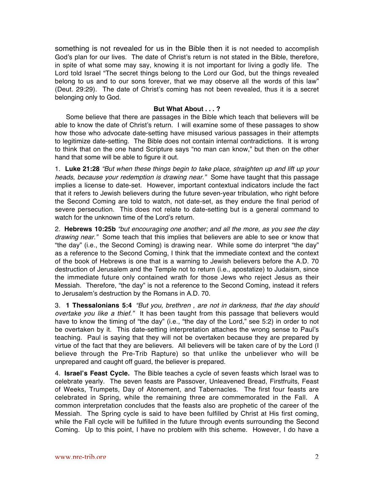something is not revealed for us in the Bible then it is not needed to accomplish God's plan for our lives. The date of Christ's return is not stated in the Bible, therefore, in spite of what some may say, knowing it is not important for living a godly life. The Lord told Israel "The secret things belong to the Lord our God, but the things revealed belong to us and to our sons forever, that we may observe all the words of this law" (Deut. 29:29). The date of Christ's coming has not been revealed, thus it is a secret belonging only to God.

## **But What About . . . ?**

Some believe that there are passages in the Bible which teach that believers will be able to know the date of Christ's return. I will examine some of these passages to show how those who advocate date-setting have misused various passages in their attempts to legitimize date-setting. The Bible does not contain internal contradictions. It is wrong to think that on the one hand Scripture says "no man can know," but then on the other hand that some will be able to figure it out.

1. **Luke 21:28** "But when these things begin to take place, straighten up and lift up your heads, because your redemption is drawing near." Some have taught that this passage implies a license to date-set. However, important contextual indicators include the fact that it refers to Jewish believers during the future seven-year tribulation, who right before the Second Coming are told to watch, not date-set, as they endure the final period of severe persecution. This does not relate to date-setting but is a general command to watch for the unknown time of the Lord's return.

2. **Hebrews 10:25b** "but encouraging one another; and all the more, as you see the day drawing near." Some teach that this implies that believers are able to see or know that "the day" (i.e., the Second Coming) is drawing near. While some do interpret "the day" as a reference to the Second Coming, I think that the immediate context and the context of the book of Hebrews is one that is a warning to Jewish believers before the A.D. 70 destruction of Jerusalem and the Temple not to return (i.e., apostatize) to Judaism, since the immediate future only contained wrath for those Jews who reject Jesus as their Messiah. Therefore, "the day" is not a reference to the Second Coming, instead it refers to Jerusalem's destruction by the Romans in A.D. 70.

3. **1 Thessalonians 5:4** "But you, brethren , are not in darkness, that the day should overtake you like a thief." It has been taught from this passage that believers would have to know the timing of "the day" (i.e., "the day of the Lord," see 5:2) in order to not be overtaken by it. This date-setting interpretation attaches the wrong sense to Paul's teaching. Paul is saying that they will not be overtaken because they are prepared by virtue of the fact that they are believers. All believers will be taken care of by the Lord (I believe through the Pre-Trib Rapture) so that unlike the unbeliever who will be unprepared and caught off guard, the believer is prepared.

4. **Israel's Feast Cycle.** The Bible teaches a cycle of seven feasts which Israel was to celebrate yearly. The seven feasts are Passover, Unleavened Bread, Firstfruits, Feast of Weeks, Trumpets, Day of Atonement, and Tabernacles. The first four feasts are celebrated in Spring, while the remaining three are commemorated in the Fall. A common interpretation concludes that the feasts also are prophetic of the career of the Messiah. The Spring cycle is said to have been fulfilled by Christ at His first coming, while the Fall cycle will be fulfilled in the future through events surrounding the Second Coming. Up to this point, I have no problem with this scheme. However, I do have a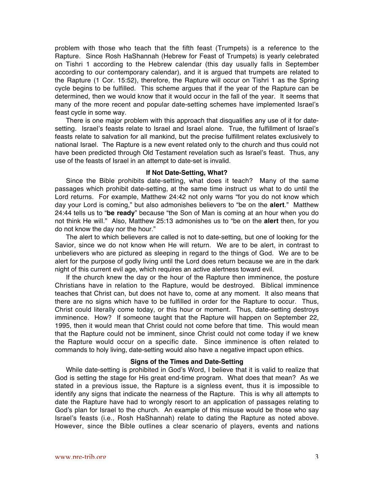problem with those who teach that the fifth feast (Trumpets) is a reference to the Rapture. Since Rosh HaShannah (Hebrew for Feast of Trumpets) is yearly celebrated on Tishri 1 according to the Hebrew calendar (this day usually falls in September according to our contemporary calendar), and it is argued that trumpets are related to the Rapture (1 Cor. 15:52), therefore, the Rapture will occur on Tishri 1 as the Spring cycle begins to be fulfilled. This scheme argues that if the year of the Rapture can be determined, then we would know that it would occur in the fall of the year. It seems that many of the more recent and popular date-setting schemes have implemented Israel's feast cycle in some way.

There is one major problem with this approach that disqualifies any use of it for datesetting. Israel's feasts relate to Israel and Israel alone. True, the fulfillment of Israel's feasts relate to salvation for all mankind, but the precise fulfillment relates exclusively to national Israel. The Rapture is a new event related only to the church and thus could not have been predicted through Old Testament revelation such as Israel's feast. Thus, any use of the feasts of Israel in an attempt to date-set is invalid.

#### **If Not Date-Setting, What?**

Since the Bible prohibits date-setting, what does it teach? Many of the same passages which prohibit date-setting, at the same time instruct us what to do until the Lord returns. For example, Matthew 24:42 not only warns "for you do not know which day your Lord is coming," but also admonishes believers to "be on the **alert**." Matthew 24:44 tells us to "**be ready**" because "the Son of Man is coming at an hour when you do not think He will." Also, Matthew 25:13 admonishes us to "be on the **alert** then, for you do not know the day nor the hour."

The alert to which believers are called is not to date-setting, but one of looking for the Savior, since we do not know when He will return. We are to be alert, in contrast to unbelievers who are pictured as sleeping in regard to the things of God. We are to be alert for the purpose of godly living until the Lord does return because we are in the dark night of this current evil age, which requires an active alertness toward evil.

If the church knew the day or the hour of the Rapture then imminence, the posture Christians have in relation to the Rapture, would be destroyed. Biblical imminence teaches that Christ can, but does not have to, come at any moment. It also means that there are no signs which have to be fulfilled in order for the Rapture to occur. Thus, Christ could literally come today, or this hour or moment. Thus, date-setting destroys imminence. How? If someone taught that the Rapture will happen on September 22, 1995, then it would mean that Christ could not come before that time. This would mean that the Rapture could not be imminent, since Christ could not come today if we knew the Rapture would occur on a specific date. Since imminence is often related to commands to holy living, date-setting would also have a negative impact upon ethics.

### **Signs of the Times and Date-Setting**

While date-setting is prohibited in God's Word, I believe that it is valid to realize that God is setting the stage for His great end-time program. What does that mean? As we stated in a previous issue, the Rapture is a signless event, thus it is impossible to identify any signs that indicate the nearness of the Rapture. This is why all attempts to date the Rapture have had to wrongly resort to an application of passages relating to God's plan for Israel to the church. An example of this misuse would be those who say Israel's feasts (i.e., Rosh HaShannah) relate to dating the Rapture as noted above. However, since the Bible outlines a clear scenario of players, events and nations